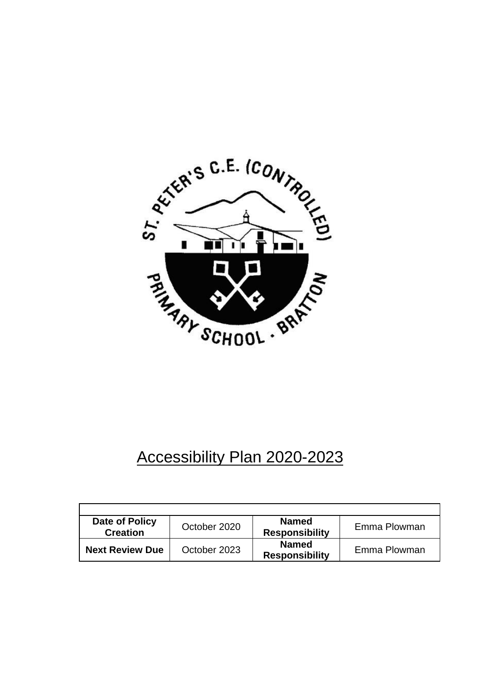

# Accessibility Plan 2020-2023

| Date of Policy<br><b>Creation</b> | October 2020 | <b>Named</b><br><b>Responsibility</b> | Emma Plowman |
|-----------------------------------|--------------|---------------------------------------|--------------|
| <b>Next Review Due</b>            | October 2023 | <b>Named</b><br><b>Responsibility</b> | Emma Plowman |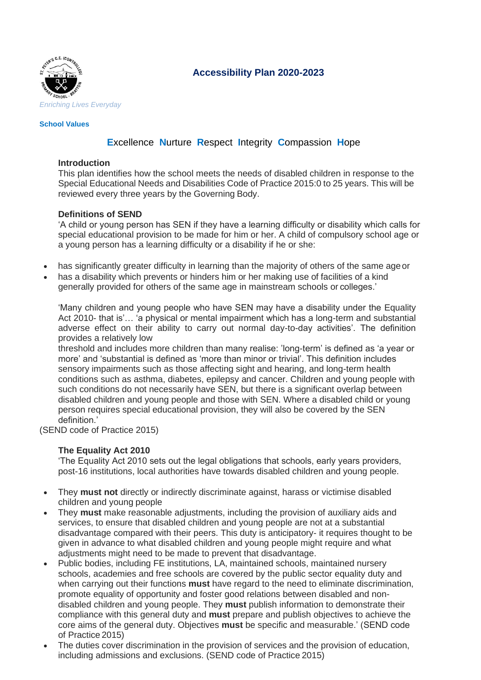

## **Accessibility Plan 2020-2023**

#### **School Values**

## **E**xcellence **N**urture **R**espect **I**ntegrity **C**ompassion **H**ope

#### **Introduction**

This plan identifies how the school meets the needs of disabled children in response to the Special Educational Needs and Disabilities Code of Practice 2015:0 to 25 years. This will be reviewed every three years by the Governing Body.

#### **Definitions of SEND**

'A child or young person has SEN if they have a learning difficulty or disability which calls for special educational provision to be made for him or her. A child of compulsory school age or a young person has a learning difficulty or a disability if he or she:

- has significantly greater difficulty in learning than the majority of others of the same ageor
- has a disability which prevents or hinders him or her making use of facilities of a kind generally provided for others of the same age in mainstream schools or colleges.'

'Many children and young people who have SEN may have a disability under the Equality Act 2010- that is'… 'a physical or mental impairment which has a long-term and substantial adverse effect on their ability to carry out normal day-to-day activities'. The definition provides a relatively low

threshold and includes more children than many realise: 'long-term' is defined as 'a year or more' and 'substantial is defined as 'more than minor or trivial'. This definition includes sensory impairments such as those affecting sight and hearing, and long-term health conditions such as asthma, diabetes, epilepsy and cancer. Children and young people with such conditions do not necessarily have SEN, but there is a significant overlap between disabled children and young people and those with SEN. Where a disabled child or young person requires special educational provision, they will also be covered by the SEN definition.'

(SEND code of Practice 2015)

#### **The Equality Act 2010**

'The Equality Act 2010 sets out the legal obligations that schools, early years providers, post-16 institutions, local authorities have towards disabled children and young people.

- They **must not** directly or indirectly discriminate against, harass or victimise disabled children and young people
- They **must** make reasonable adjustments, including the provision of auxiliary aids and services, to ensure that disabled children and young people are not at a substantial disadvantage compared with their peers. This duty is anticipatory- it requires thought to be given in advance to what disabled children and young people might require and what adjustments might need to be made to prevent that disadvantage.
- Public bodies, including FE institutions, LA, maintained schools, maintained nursery schools, academies and free schools are covered by the public sector equality duty and when carrying out their functions **must** have regard to the need to eliminate discrimination, promote equality of opportunity and foster good relations between disabled and nondisabled children and young people. They **must** publish information to demonstrate their compliance with this general duty and **must** prepare and publish objectives to achieve the core aims of the general duty. Objectives **must** be specific and measurable.' (SEND code of Practice 2015)
- The duties cover discrimination in the provision of services and the provision of education, including admissions and exclusions. (SEND code of Practice 2015)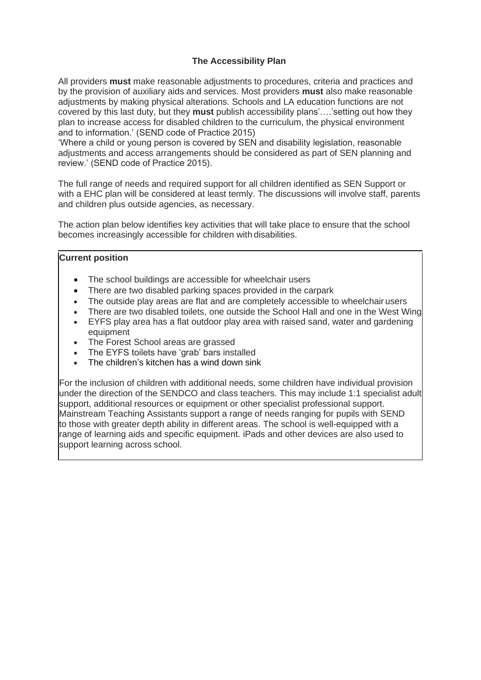### **The Accessibility Plan**

All providers **must** make reasonable adjustments to procedures, criteria and practices and by the provision of auxiliary aids and services. Most providers **must** also make reasonable adjustments by making physical alterations. Schools and LA education functions are not covered by this last duty, but they **must** publish accessibility plans'….'setting out how they plan to increase access for disabled children to the curriculum, the physical environment and to information.' (SEND code of Practice 2015)

'Where a child or young person is covered by SEN and disability legislation, reasonable adjustments and access arrangements should be considered as part of SEN planning and review.' (SEND code of Practice 2015).

The full range of needs and required support for all children identified as SEN Support or with a EHC plan will be considered at least termly. The discussions will involve staff, parents and children plus outside agencies, as necessary.

The action plan below identifies key activities that will take place to ensure that the school becomes increasingly accessible for children with disabilities.

#### **Current position**

- The school buildings are accessible for wheelchair users
- There are two disabled parking spaces provided in the carpark
- The outside play areas are flat and are completely accessible to wheelchair users
- There are two disabled toilets, one outside the School Hall and one in the West Wing
- EYFS play area has a flat outdoor play area with raised sand, water and gardening equipment
- The Forest School areas are grassed
- The EYFS toilets have 'grab' bars installed
- The children's kitchen has a wind down sink

For the inclusion of children with additional needs, some children have individual provision under the direction of the SENDCO and class teachers. This may include 1:1 specialist adult support, additional resources or equipment or other specialist professional support. Mainstream Teaching Assistants support a range of needs ranging for pupils with SEND to those with greater depth ability in different areas. The school is well-equipped with a range of learning aids and specific equipment. iPads and other devices are also used to support learning across school.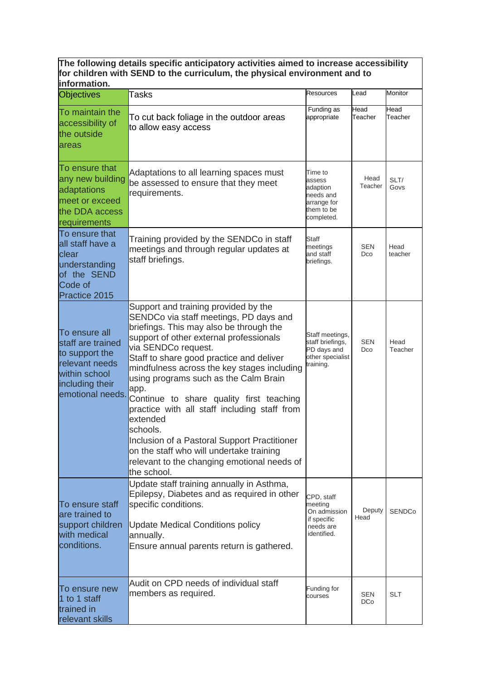#### **The following details specific anticipatory activities aimed to increase accessibility for children with SEND to the curriculum, the physical environment and to information.**

| <b>Objectives</b>                                                                                                              | Tasks                                                                                                                                                                                                                                                                                                                                                                                                                                                                                                                                                                                                                 | <b>Resources</b>                                                                      | Lead              | Monitor         |
|--------------------------------------------------------------------------------------------------------------------------------|-----------------------------------------------------------------------------------------------------------------------------------------------------------------------------------------------------------------------------------------------------------------------------------------------------------------------------------------------------------------------------------------------------------------------------------------------------------------------------------------------------------------------------------------------------------------------------------------------------------------------|---------------------------------------------------------------------------------------|-------------------|-----------------|
| To maintain the<br>accessibility of<br>the outside<br>areas                                                                    | To cut back foliage in the outdoor areas<br>to allow easy access                                                                                                                                                                                                                                                                                                                                                                                                                                                                                                                                                      | Funding as<br>appropriate                                                             | Head<br>Teacher   | Head<br>Teacher |
| To ensure that<br>any new building<br>adaptations<br>meet or exceed<br>the DDA access<br>requirements                          | Adaptations to all learning spaces must<br>be assessed to ensure that they meet<br>requirements.                                                                                                                                                                                                                                                                                                                                                                                                                                                                                                                      | Time to<br>assess<br>adaption<br>needs and<br>arrange for<br>them to be<br>completed. | Head<br>Teacher   | SLT/<br>Govs    |
| To ensure that<br>all staff have a<br>clear<br>understanding<br>of the SEND<br>Code of<br>Practice 2015                        | Training provided by the SENDCo in staff<br>meetings and through regular updates at<br>staff briefings.                                                                                                                                                                                                                                                                                                                                                                                                                                                                                                               | Staff<br>meetings<br>and staff<br>briefings.                                          | SEN<br>Dco        | Head<br>teacher |
| To ensure all<br>staff are trained<br>to support the<br>relevant needs<br>within school<br>including their<br>emotional needs. | Support and training provided by the<br>SENDCo via staff meetings, PD days and<br>briefings. This may also be through the<br>support of other external professionals<br>via SENDCo request.<br>Staff to share good practice and deliver<br>mindfulness across the key stages including<br>using programs such as the Calm Brain<br>app.<br>Continue to share quality first teaching<br>practice with all staff including staff from<br>extended<br>schools.<br>Inclusion of a Pastoral Support Practitioner<br>on the staff who will undertake training<br>relevant to the changing emotional needs of<br>the school. | Staff meetings,<br>staff briefings,<br>PD days and<br>other specialist<br>training.   | <b>SEN</b><br>Dco | Head<br>Teacher |
| To ensure staff<br>are trained to<br>support children<br>with medical<br>conditions.                                           | Update staff training annually in Asthma,<br>Epilepsy, Diabetes and as required in other<br>specific conditions.<br><b>Update Medical Conditions policy</b><br>annually.<br>Ensure annual parents return is gathered.                                                                                                                                                                                                                                                                                                                                                                                                 | CPD, staff<br>meeting<br>On admission<br>if specific<br>needs are<br>identified.      | Deputy<br>Head    | <b>SENDCo</b>   |
| To ensure new<br>1 to 1 staff<br>trained in<br>relevant skills                                                                 | Audit on CPD needs of individual staff<br>members as required.                                                                                                                                                                                                                                                                                                                                                                                                                                                                                                                                                        | Funding for<br>courses                                                                | SEN<br><b>DCo</b> | <b>SLT</b>      |